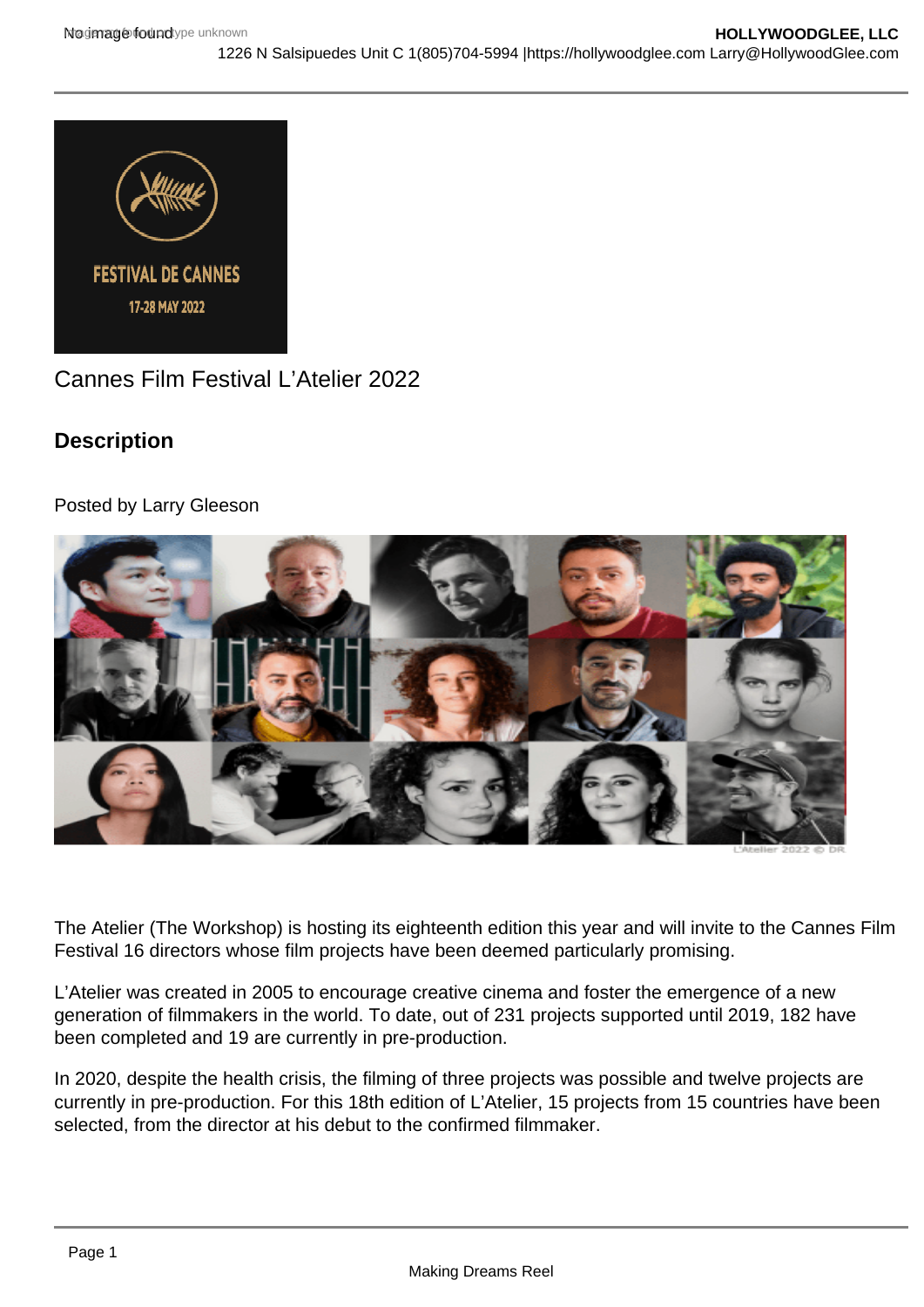Cannes Film Festival L'Atelier 2022

**Description** 

Posted by Larry Gleeson

The Atelier (The Workshop) is hosting its eighteenth edition this year and will invite to the Cannes Film Festival 16 directors whose film projects have been deemed particularly promising.

L'Atelier was created in 2005 to encourage creative cinema and foster the emergence of a new generation of filmmakers in the world. To date, out of 231 projects supported until 2019, 182 have been completed and 19 are currently in pre-production.

In 2020, despite the health crisis, the filming of three projects was possible and twelve projects are currently in pre-production. For this 18th edition of L'Atelier, 15 projects from 15 countries have been selected, from the director at his debut to the confirmed filmmaker.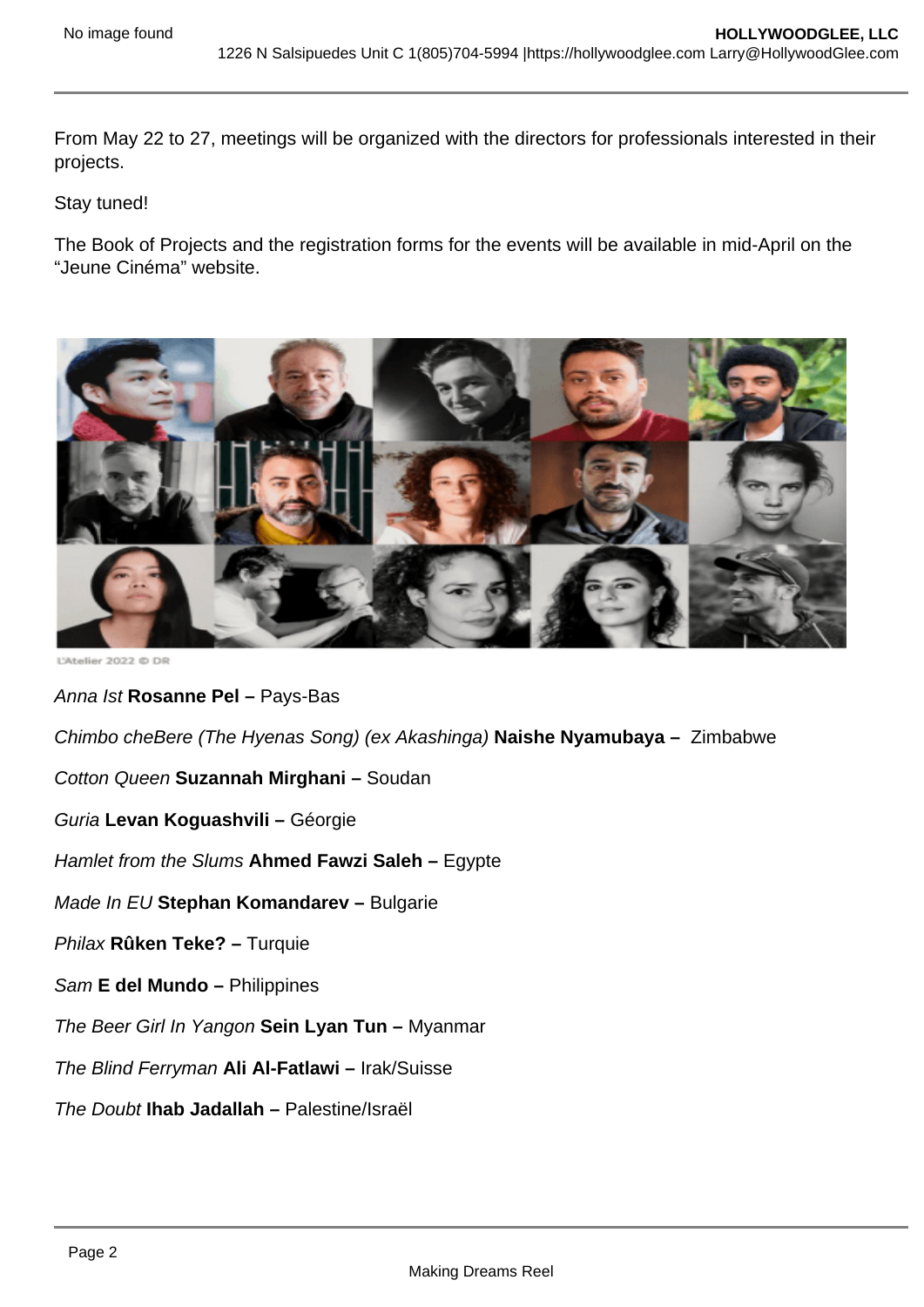From May 22 to 27, meetings will be organized with the directors for professionals interested in their projects.

Stay tuned!

The Book of Projects and the registration forms for the events will be available in mid-April on the "Jeune Cinéma" website.

Anna Ist Rosanne Pel – Pays-Bas

Chimbo cheBere (The Hyenas Song) (ex Akashinga) Naishe Nyamubaya – Zimbabwe

Cotton Queen Suzannah Mirghani – Soudan

Guria Levan Koguashvili – Géorgie

Hamlet from the Slums Ahmed Fawzi Saleh – Egypte

Made In EU Stephan Komandarev – Bulgarie

Philax Rûken Teke? – Turquie

- Sam E del Mundo Philippines
- The Beer Girl In Yangon Sein Lyan Tun Myanmar
- The Blind Ferryman Ali Al-Fatlawi Irak/Suisse
- The Doubt Ihab Jadallah Palestine/Israël